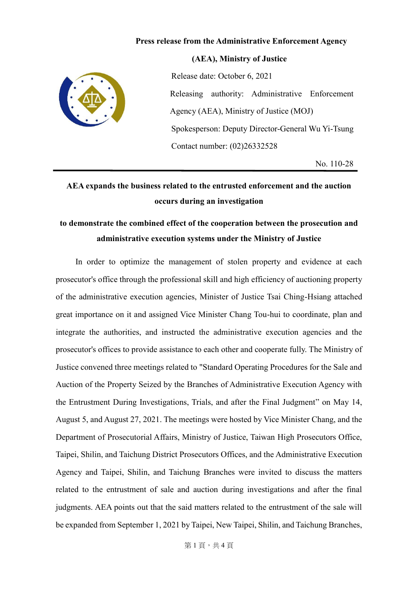## **Press release from the Administrative Enforcement Agency**

**(AEA), Ministry of Justice**



Release date: October 6, 2021 Releasing authority: Administrative Enforcement Agency (AEA), Ministry of Justice (MOJ) Spokesperson: Deputy Director-General Wu Yi-Tsung Contact number: (02)26332528

No. 110-28

## **AEA expands the business related to the entrusted enforcement and the auction occurs during an investigation**

## **to demonstrate the combined effect of the cooperation between the prosecution and administrative execution systems under the Ministry of Justice**

 In order to optimize the management of stolen property and evidence at each prosecutor's office through the professional skill and high efficiency of auctioning property of the administrative execution agencies, Minister of Justice Tsai Ching-Hsiang attached great importance on it and assigned Vice Minister Chang Tou-hui to coordinate, plan and integrate the authorities, and instructed the administrative execution agencies and the prosecutor's offices to provide assistance to each other and cooperate fully. The Ministry of Justice convened three meetings related to "Standard Operating Procedures for the Sale and Auction of the Property Seized by the Branches of Administrative Execution Agency with the Entrustment During Investigations, Trials, and after the Final Judgment" on May 14, August 5, and August 27, 2021. The meetings were hosted by Vice Minister Chang, and the Department of Prosecutorial Affairs, Ministry of Justice, Taiwan High Prosecutors Office, Taipei, Shilin, and Taichung District Prosecutors Offices, and the Administrative Execution Agency and Taipei, Shilin, and Taichung Branches were invited to discuss the matters related to the entrustment of sale and auction during investigations and after the final judgments. AEA points out that the said matters related to the entrustment of the sale will be expanded from September 1, 2021 by Taipei, New Taipei, Shilin, and Taichung Branches,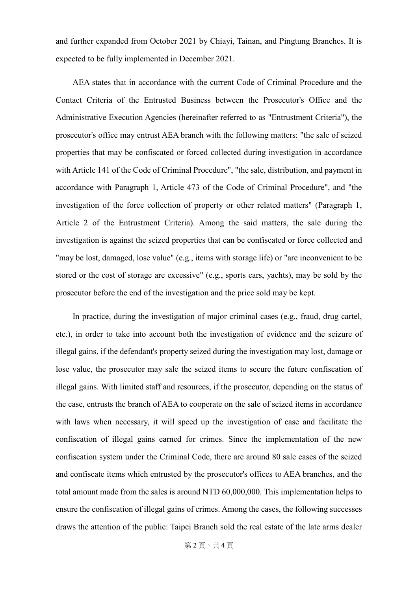and further expanded from October 2021 by Chiayi, Tainan, and Pingtung Branches. It is expected to be fully implemented in December 2021.

AEA states that in accordance with the current Code of Criminal Procedure and the Contact Criteria of the Entrusted Business between the Prosecutor's Office and the Administrative Execution Agencies (hereinafter referred to as "Entrustment Criteria"), the prosecutor's office may entrust AEA branch with the following matters: "the sale of seized properties that may be confiscated or forced collected during investigation in accordance with Article 141 of the Code of Criminal Procedure", "the sale, distribution, and payment in accordance with Paragraph 1, Article 473 of the Code of Criminal Procedure", and "the investigation of the force collection of property or other related matters" (Paragraph 1, Article 2 of the Entrustment Criteria). Among the said matters, the sale during the investigation is against the seized properties that can be confiscated or force collected and "may be lost, damaged, lose value" (e.g., items with storage life) or "are inconvenient to be stored or the cost of storage are excessive" (e.g., sports cars, yachts), may be sold by the prosecutor before the end of the investigation and the price sold may be kept.

In practice, during the investigation of major criminal cases (e.g., fraud, drug cartel, etc.), in order to take into account both the investigation of evidence and the seizure of illegal gains, if the defendant's property seized during the investigation may lost, damage or lose value, the prosecutor may sale the seized items to secure the future confiscation of illegal gains. With limited staff and resources, if the prosecutor, depending on the status of the case, entrusts the branch of AEA to cooperate on the sale of seized items in accordance with laws when necessary, it will speed up the investigation of case and facilitate the confiscation of illegal gains earned for crimes. Since the implementation of the new confiscation system under the Criminal Code, there are around 80 sale cases of the seized and confiscate items which entrusted by the prosecutor's offices to AEA branches, and the total amount made from the sales is around NTD 60,000,000. This implementation helps to ensure the confiscation of illegal gains of crimes. Among the cases, the following successes draws the attention of the public: Taipei Branch sold the real estate of the late arms dealer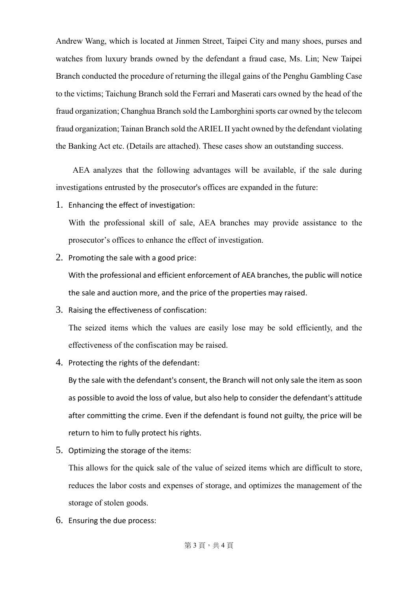Andrew Wang, which is located at Jinmen Street, Taipei City and many shoes, purses and watches from luxury brands owned by the defendant a fraud case, Ms. Lin; New Taipei Branch conducted the procedure of returning the illegal gains of the Penghu Gambling Case to the victims; Taichung Branch sold the Ferrari and Maserati cars owned by the head of the fraud organization; Changhua Branch sold the Lamborghini sports car owned by the telecom fraud organization; Tainan Branch sold the ARIEL II yacht owned by the defendant violating the Banking Act etc. (Details are attached). These cases show an outstanding success.

AEA analyzes that the following advantages will be available, if the sale during investigations entrusted by the prosecutor's offices are expanded in the future:

1. Enhancing the effect of investigation:

With the professional skill of sale, AEA branches may provide assistance to the prosecutor's offices to enhance the effect of investigation.

2. Promoting the sale with a good price:

With the professional and efficient enforcement of AEA branches, the public will notice the sale and auction more, and the price of the properties may raised.

3. Raising the effectiveness of confiscation:

The seized items which the values are easily lose may be sold efficiently, and the effectiveness of the confiscation may be raised.

4. Protecting the rights of the defendant:

By the sale with the defendant's consent, the Branch will not only sale the item as soon as possible to avoid the loss of value, but also help to consider the defendant's attitude after committing the crime. Even if the defendant is found not guilty, the price will be return to him to fully protect his rights.

5. Optimizing the storage of the items:

This allows for the quick sale of the value of seized items which are difficult to store, reduces the labor costs and expenses of storage, and optimizes the management of the storage of stolen goods.

6. Ensuring the due process: